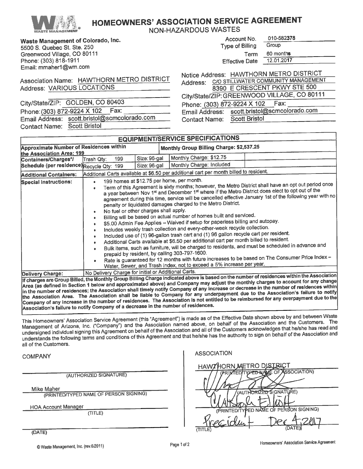

## **HOMEOWNERS' ASSOCIATION SERVICE AGREEMENT**

**NON-HAZARDOUS WASTES** 

Waste Management of Colorado, Inc. 5500 S. Quebec St. Ste. 250

| JJUU U. QUEDEC UI. UIC. LOO |
|-----------------------------|
| Greenwood Village, CO 80111 |
| Phone: (303) 818-1911       |
| Email: mmaher1@wm.com       |

| Account No.           | 010-582378 |  |
|-----------------------|------------|--|
| Type of Billing       | Group      |  |
| Term                  | 60 months  |  |
| <b>Effective Date</b> | 12.01.2017 |  |
|                       |            |  |

Association Name: HAWTHORN METRO DISTRICT **Address: VARIOUS LOCATIONS** 

City/State/ZIP: GOLDEN, CO 80403 Phone: (303) 872-9224 X 102 Fax: Email Address: scott.bristol@scmcolorado.com **Contact Name: Scott Bristol** 

|                             | Notice Address: HAWTHORN METRO DISTRICT     |
|-----------------------------|---------------------------------------------|
| Address:                    | C/O STILLWATER COMMUNITY MANAGEMENT         |
|                             | 8390 E CRESCENT PKWY STE 500                |
|                             | City/State/ZIP: GREENWOOD VILLAGE, CO 80111 |
| Phone: (303) 872-9224 X 102 | Fax:                                        |
| Email Address:              | scott.bristol@scmcolorado.com               |
| <b>Contact Name:</b>        | <b>Scott Bristol</b>                        |

| <b>EQUIPMENT/SERVICE SPECIFICATIONS</b>                                                                                                                                                                                                                                                                                                                                                                                                                                                                                                                                                                                                                                                                                                                                                                                                                                                                                                                                                                                                                                                                                                                                                                                                                                                                                                                                                    |                                                                                            |                              |                                                     |                                                                                                                                           |  |  |
|--------------------------------------------------------------------------------------------------------------------------------------------------------------------------------------------------------------------------------------------------------------------------------------------------------------------------------------------------------------------------------------------------------------------------------------------------------------------------------------------------------------------------------------------------------------------------------------------------------------------------------------------------------------------------------------------------------------------------------------------------------------------------------------------------------------------------------------------------------------------------------------------------------------------------------------------------------------------------------------------------------------------------------------------------------------------------------------------------------------------------------------------------------------------------------------------------------------------------------------------------------------------------------------------------------------------------------------------------------------------------------------------|--------------------------------------------------------------------------------------------|------------------------------|-----------------------------------------------------|-------------------------------------------------------------------------------------------------------------------------------------------|--|--|
|                                                                                                                                                                                                                                                                                                                                                                                                                                                                                                                                                                                                                                                                                                                                                                                                                                                                                                                                                                                                                                                                                                                                                                                                                                                                                                                                                                                            | <b>Approximate Number of Residences within</b><br>Monthly Group Billing Charge: \$2,537.25 |                              |                                                     |                                                                                                                                           |  |  |
| the Association Area: 199<br>Containers/Charges*/<br>Schedule (per residence) Recycle Qty: 199                                                                                                                                                                                                                                                                                                                                                                                                                                                                                                                                                                                                                                                                                                                                                                                                                                                                                                                                                                                                                                                                                                                                                                                                                                                                                             | 199<br>Trash Qty:                                                                          | Size: 96-gal<br>Size: 96-gal | Monthly Charge: \$12.75<br>Monthly Charge: Included |                                                                                                                                           |  |  |
| <b>Additional Containers:</b>                                                                                                                                                                                                                                                                                                                                                                                                                                                                                                                                                                                                                                                                                                                                                                                                                                                                                                                                                                                                                                                                                                                                                                                                                                                                                                                                                              |                                                                                            |                              |                                                     |                                                                                                                                           |  |  |
| Additional Carts available at \$6.50 per additional cart per month billed to resident.<br>199 homes at \$12.75 per home, per month.<br><b>Special Instructions:</b><br>$\bullet$<br>Term of this Agreement is sixty months; however, the Metro District shall have an opt out period once<br>$\bullet$<br>a year between Nov 1st and December 1st where if the Metro District does elect to opt out of the<br>agreement during this time, service will be cancelled effective January 1st of the following year with no<br>penalty or liquidated damages charged to the Metro District.<br>No fuel or other charges shall apply.<br>Billing will be based on actual number of homes built and serviced.<br>\$5.00 Admin Fee Applies - Waived if setup for paperless billing and autopay.<br>Includes weekly trash collection and every-other-week recycle collection.<br>Included use of (1) 96-gallon trash cart and (1) 96 gallon recycle cart per resident.<br>Additional Carts available at \$6.50 per additional cart per month billed to resident.<br>Bulk items, such as furniture, will be charged to residents, and must be scheduled in advance and<br>prepaid by resident, by calling 303-797-1600.<br>Rate is guaranteed for 12 months with future increases to be based on The Consumer Price Index -<br>Water, Sewer, and Trash Index, not to exceed a 5% increase per year. |                                                                                            |                              |                                                     |                                                                                                                                           |  |  |
| Delivery Charge:                                                                                                                                                                                                                                                                                                                                                                                                                                                                                                                                                                                                                                                                                                                                                                                                                                                                                                                                                                                                                                                                                                                                                                                                                                                                                                                                                                           | No Delivery Charge for Initial or Additional Carts.                                        |                              |                                                     |                                                                                                                                           |  |  |
|                                                                                                                                                                                                                                                                                                                                                                                                                                                                                                                                                                                                                                                                                                                                                                                                                                                                                                                                                                                                                                                                                                                                                                                                                                                                                                                                                                                            |                                                                                            |                              |                                                     | If charges are Group Billed, the Monthly Group Billing Charge indicated above is based on the number of residences within the Association |  |  |

Area (as defined in Section 1 below and approximated above) and Company may adjust the monthly charges to account for any change in the number of residences; the Association shall timely notify Company of any increase or decrease in the number of residences within the Association Area. The Association shall be liable to Company for any underpayment due to the Association's failure to notify Company of any increase in the number of residences. The Association is not entitled to be reimbursed for any overpayment due to the Association's failure to notify Company of a decrease in the number of residences.

This Homeowners' Association Service Agreement (this "Agreement") is made as of the Effective Date shown above by and between Waste Management of Arizona, Inc. ("Company") and the Association named above, on behalf of the Association and the Customers. The undersigned individual signing this Agreement on behalf of the Association and all of the Customers acknowledges that he/she has read and understands the following terms and conditions of this Agreement and that he/she has the authority to sign on behalf of the Association and all of the Customers.

**COMPANY** 

(AUTHORIZED SIGNATURE)

Mike Maher

(DATE)

(PRINTED/TYPED NAME OF PERSON SIGNING)

**HOA Account Manager** 

(TITLE)

| <b>ASSOCIATION</b>                     |
|----------------------------------------|
| HAWTHORN METRO DISTRICT                |
| PRINTED/TYPED NAME OF ASSOCIATION)     |
|                                        |
| (AUTHORIZED SIGNATURE)                 |
|                                        |
| (PRINTED/TYPED NAME OF PERSON SIGNING) |
|                                        |
|                                        |